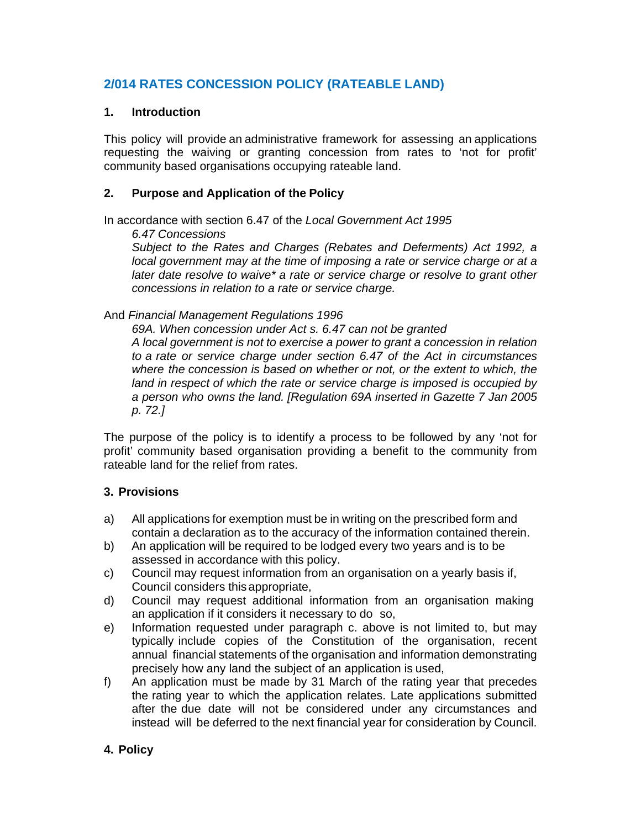# **2/014 RATES CONCESSION POLICY (RATEABLE LAND)**

### **1. Introduction**

This policy will provide an administrative framework for assessing an applications requesting the waiving or granting concession from rates to 'not for profit' community based organisations occupying rateable land.

### **2. Purpose and Application of the Policy**

In accordance with section 6.47 of the *Local Government Act 1995*

*6.47 Concessions*

*Subject to the Rates and Charges (Rebates and Deferments) Act 1992, a local government may at the time of imposing a rate or service charge or at a later date resolve to waive\* a rate or service charge or resolve to grant other concessions in relation to a rate or service charge.*

And *Financial Management Regulations 1996*

*69A. When concession under Act s. 6.47 can not be granted A local government is not to exercise a power to grant a concession in relation to a rate or service charge under section 6.47 of the Act in circumstances where the concession is based on whether or not, or the extent to which, the land in respect of which the rate or service charge is imposed is occupied by a person who owns the land. [Regulation 69A inserted in Gazette 7 Jan 2005 p. 72.]*

The purpose of the policy is to identify a process to be followed by any 'not for profit' community based organisation providing a benefit to the community from rateable land for the relief from rates.

## **3. Provisions**

- a) All applications for exemption must be in writing on the prescribed form and contain a declaration as to the accuracy of the information contained therein.
- b) An application will be required to be lodged every two years and is to be assessed in accordance with this policy.
- c) Council may request information from an organisation on a yearly basis if, Council considers this appropriate,
- d) Council may request additional information from an organisation making an application if it considers it necessary to do so,
- e) Information requested under paragraph c. above is not limited to, but may typically include copies of the Constitution of the organisation, recent annual financial statements of the organisation and information demonstrating precisely how any land the subject of an application is used,
- f) An application must be made by 31 March of the rating year that precedes the rating year to which the application relates. Late applications submitted after the due date will not be considered under any circumstances and instead will be deferred to the next financial year for consideration by Council.

## **4. Policy**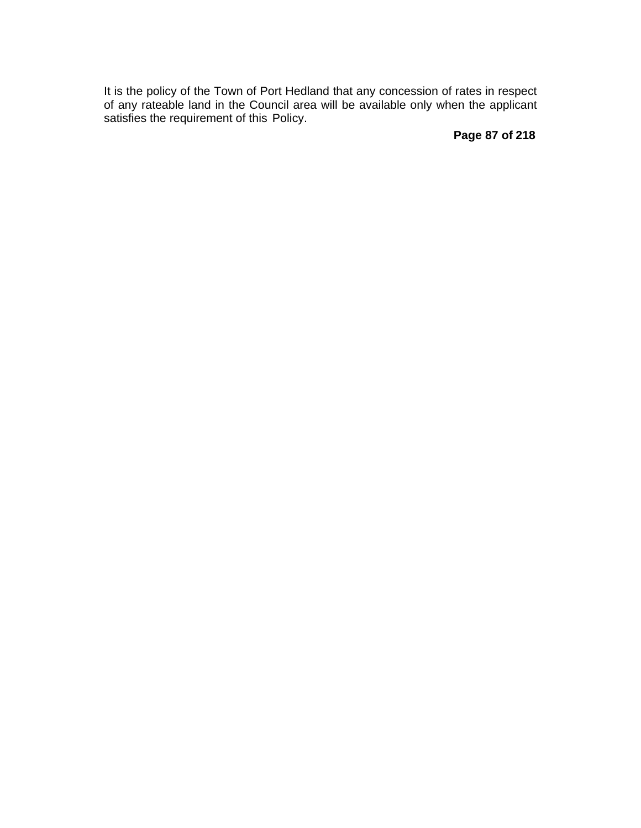It is the policy of the Town of Port Hedland that any concession of rates in respect of any rateable land in the Council area will be available only when the applicant satisfies the requirement of this Policy.

**Page 87 of 218**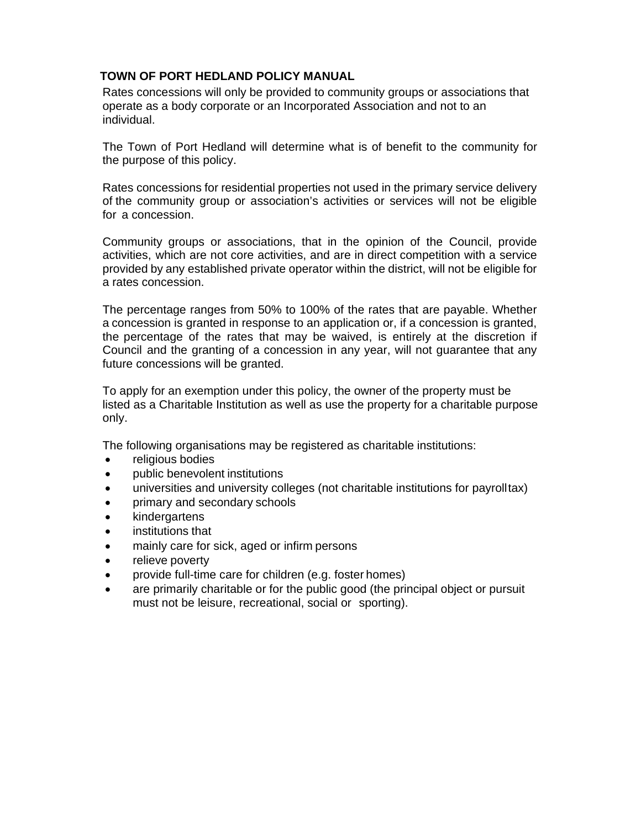### **TOWN OF PORT HEDLAND POLICY MANUAL**

Rates concessions will only be provided to community groups or associations that operate as a body corporate or an Incorporated Association and not to an individual.

The Town of Port Hedland will determine what is of benefit to the community for the purpose of this policy.

Rates concessions for residential properties not used in the primary service delivery of the community group or association's activities or services will not be eligible for a concession.

Community groups or associations, that in the opinion of the Council, provide activities, which are not core activities, and are in direct competition with a service provided by any established private operator within the district, will not be eligible for a rates concession.

The percentage ranges from 50% to 100% of the rates that are payable. Whether a concession is granted in response to an application or, if a concession is granted, the percentage of the rates that may be waived, is entirely at the discretion if Council and the granting of a concession in any year, will not guarantee that any future concessions will be granted.

To apply for an exemption under this policy, the owner of the property must be listed as a Charitable Institution as well as use the property for a charitable purpose only.

The following organisations may be registered as charitable institutions:

- religious bodies
- public benevolent institutions
- universities and university colleges (not charitable institutions for payroll tax)
- primary and secondary schools
- kindergartens
- institutions that
- mainly care for sick, aged or infirm persons
- relieve poverty
- provide full-time care for children (e.g. foster homes)
- are primarily charitable or for the public good (the principal object or pursuit must not be leisure, recreational, social or sporting).